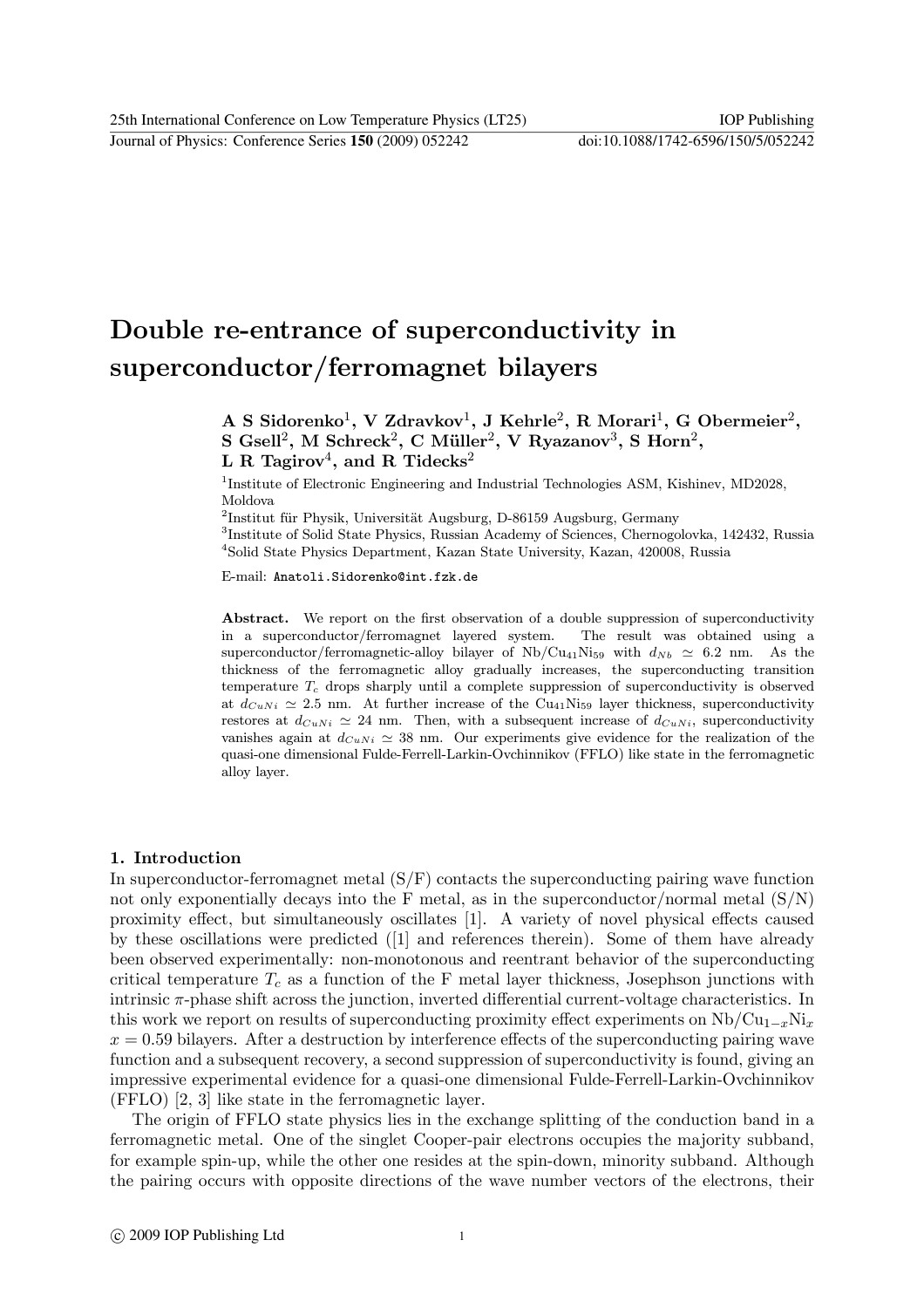25th International Conference on Low Temperature Physics (LT25) IOP Publishing

Journal of Physics: Conference Series **150** (2009) 052242 doi:10.1088/1742-6596/150/5/052242

# Double re-entrance of superconductivity in superconductor/ferromagnet bilayers

A S Sidorenko<sup>1</sup>, V Zdravkov<sup>1</sup>, J Kehrle<sup>2</sup>, R Morari<sup>1</sup>, G Obermeier<sup>2</sup>, S Gsell<sup>2</sup>, M Schreck<sup>2</sup>, C Müller<sup>2</sup>, V Ryazanov<sup>3</sup>, S Horn<sup>2</sup>, L R Tagirov<sup>4</sup>, and R Tidecks<sup>2</sup>

<sup>1</sup>Institute of Electronic Engineering and Industrial Technologies ASM, Kishinev, MD2028, Moldova

 $2$ Institut für Physik, Universität Augsburg, D-86159 Augsburg, Germany

<sup>3</sup>Institute of Solid State Physics, Russian Academy of Sciences, Chernogolovka, 142432, Russia <sup>4</sup>Solid State Physics Department, Kazan State University, Kazan, 420008, Russia

E-mail: Anatoli.Sidorenko@int.fzk.de

Abstract. We report on the first observation of a double suppression of superconductivity in a superconductor/ferromagnet layered system. The result was obtained using a superconductor/ferromagnetic-alloy bilayer of  $Nb/Cu_{41}Ni_{59}$  with  $d_{Nb} \approx 6.2$  nm. As the thickness of the ferromagnetic alloy gradually increases, the superconducting transition temperature  $T_c$  drops sharply until a complete suppression of superconductivity is observed at  $d_{CuNi} \approx 2.5$  nm. At further increase of the Cu<sub>41</sub>Ni<sub>59</sub> layer thickness, superconductivity restores at  $d_{CuNi} \simeq 24$  nm. Then, with a subsequent increase of  $d_{CuNi}$ , superconductivity vanishes again at  $d_{CuNi} \approx 38$  nm. Our experiments give evidence for the realization of the quasi-one dimensional Fulde-Ferrell-Larkin-Ovchinnikov (FFLO) like state in the ferromagnetic alloy layer.

### 1. Introduction

In superconductor-ferromagnet metal  $(S/F)$  contacts the superconducting pairing wave function not only exponentially decays into the F metal, as in the superconductor/normal metal  $(S/N)$ proximity effect, but simultaneously oscillates [1]. A variety of novel physical effects caused by these oscillations were predicted ([1] and references therein). Some of them have already been observed experimentally: non-monotonous and reentrant behavior of the superconducting critical temperature  $T_c$  as a function of the F metal layer thickness, Josephson junctions with intrinsic  $\pi$ -phase shift across the junction, inverted differential current-voltage characteristics. In this work we report on results of superconducting proximity effect experiments on  $Nb/Cu_{1-r}Ni_r$  $x = 0.59$  bilayers. After a destruction by interference effects of the superconducting pairing wave function and a subsequent recovery, a second suppression of superconductivity is found, giving an impressive experimental evidence for a quasi-one dimensional Fulde-Ferrell-Larkin-Ovchinnikov (FFLO) [2, 3] like state in the ferromagnetic layer.

The origin of FFLO state physics lies in the exchange splitting of the conduction band in a ferromagnetic metal. One of the singlet Cooper-pair electrons occupies the majority subband, for example spin-up, while the other one resides at the spin-down, minority subband. Although the pairing occurs with opposite directions of the wave number vectors of the electrons, their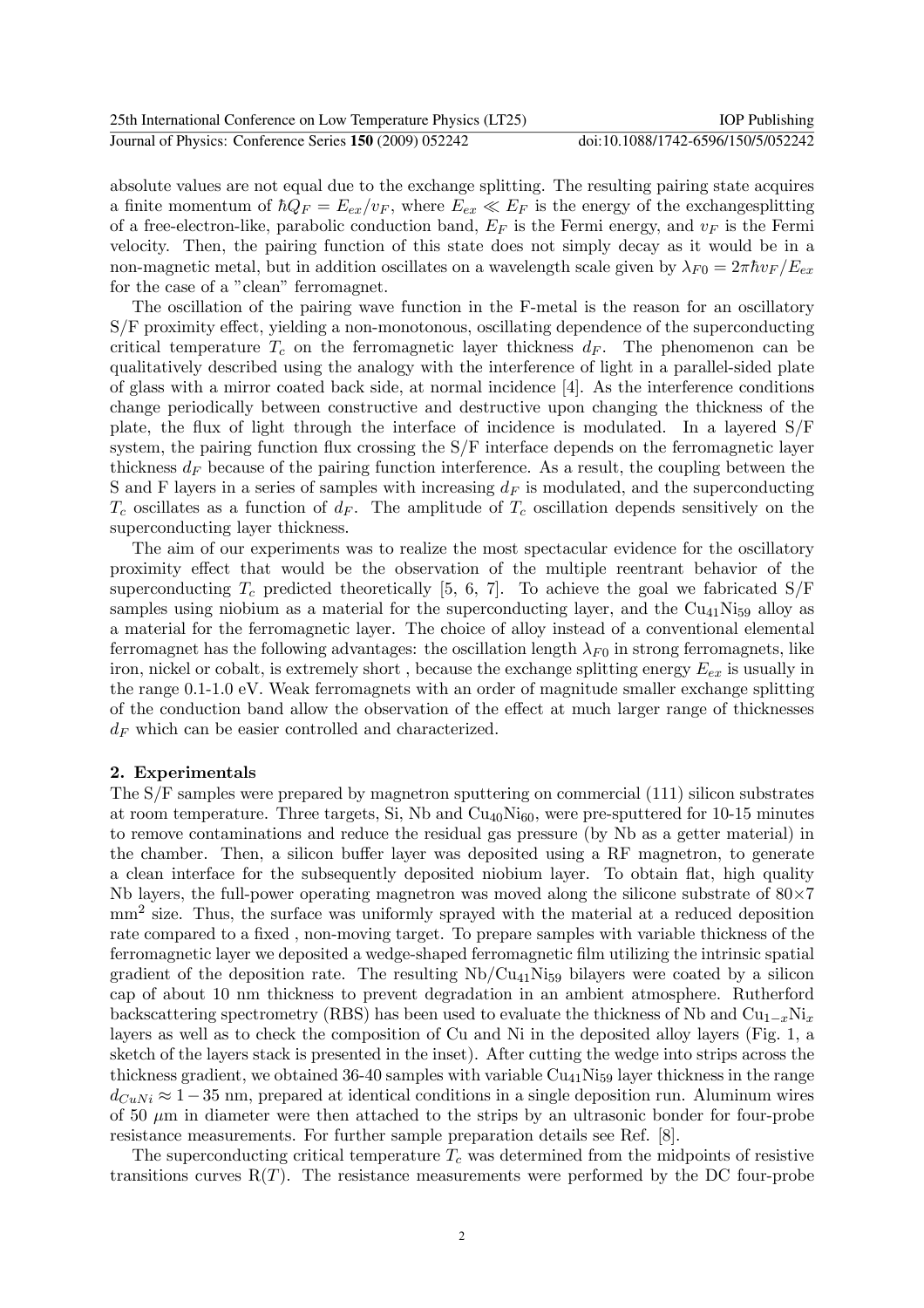| 25th International Conference on Low Temperature Physics (LT25) | <b>IOP</b> Publishing              |
|-----------------------------------------------------------------|------------------------------------|
| Journal of Physics: Conference Series 150 (2009) 052242         | doi:10.1088/1742-6596/150/5/052242 |

absolute values are not equal due to the exchange splitting. The resulting pairing state acquires a finite momentum of  $\hbar Q_F = E_{ex}/v_F$ , where  $E_{ex} \ll E_F$  is the energy of the exchanges plitting of a free-electron-like, parabolic conduction band,  $E_F$  is the Fermi energy, and  $v_F$  is the Fermi velocity. Then, the pairing function of this state does not simply decay as it would be in a non-magnetic metal, but in addition oscillates on a wavelength scale given by  $\lambda_{F0} = 2\pi \hbar v_F / E_{ex}$ for the case of a "clean" ferromagnet.

The oscillation of the pairing wave function in the F-metal is the reason for an oscillatory S/F proximity effect, yielding a non-monotonous, oscillating dependence of the superconducting critical temperature  $T_c$  on the ferromagnetic layer thickness  $d_F$ . The phenomenon can be qualitatively described using the analogy with the interference of light in a parallel-sided plate of glass with a mirror coated back side, at normal incidence [4]. As the interference conditions change periodically between constructive and destructive upon changing the thickness of the plate, the flux of light through the interface of incidence is modulated. In a layered S/F system, the pairing function flux crossing the S/F interface depends on the ferromagnetic layer thickness  $d_F$  because of the pairing function interference. As a result, the coupling between the S and F layers in a series of samples with increasing  $d_F$  is modulated, and the superconducting  $T_c$  oscillates as a function of  $d_F$ . The amplitude of  $T_c$  oscillation depends sensitively on the superconducting layer thickness.

The aim of our experiments was to realize the most spectacular evidence for the oscillatory proximity effect that would be the observation of the multiple reentrant behavior of the superconducting  $T_c$  predicted theoretically [5, 6, 7]. To achieve the goal we fabricated S/F samples using niobium as a material for the superconducting layer, and the  $Cu_{41}Ni_{59}$  alloy as a material for the ferromagnetic layer. The choice of alloy instead of a conventional elemental ferromagnet has the following advantages: the oscillation length  $\lambda_{F0}$  in strong ferromagnets, like iron, nickel or cobalt, is extremely short, because the exchange splitting energy  $E_{ex}$  is usually in the range 0.1-1.0 eV. Weak ferromagnets with an order of magnitude smaller exchange splitting of the conduction band allow the observation of the effect at much larger range of thicknesses  $d_F$  which can be easier controlled and characterized.

## 2. Experimentals

The S/F samples were prepared by magnetron sputtering on commercial (111) silicon substrates at room temperature. Three targets, Si, Nb and  $Cu<sub>40</sub>N<sub>160</sub>$ , were pre-sputtered for 10-15 minutes to remove contaminations and reduce the residual gas pressure (by Nb as a getter material) in the chamber. Then, a silicon buffer layer was deposited using a RF magnetron, to generate a clean interface for the subsequently deposited niobium layer. To obtain flat, high quality Nb layers, the full-power operating magnetron was moved along the silicone substrate of  $80\times7$ mm<sup>2</sup> size. Thus, the surface was uniformly sprayed with the material at a reduced deposition rate compared to a fixed , non-moving target. To prepare samples with variable thickness of the ferromagnetic layer we deposited a wedge-shaped ferromagnetic film utilizing the intrinsic spatial gradient of the deposition rate. The resulting  $Nb/Cu_{41}Ni_{59}$  bilayers were coated by a silicon cap of about 10 nm thickness to prevent degradation in an ambient atmosphere. Rutherford backscattering spectrometry (RBS) has been used to evaluate the thickness of Nb and  $Cu_{1-x}Ni_{x}$ layers as well as to check the composition of Cu and Ni in the deposited alloy layers (Fig. 1, a sketch of the layers stack is presented in the inset). After cutting the wedge into strips across the thickness gradient, we obtained 36-40 samples with variable  $Cu_{41}Ni_{59}$  layer thickness in the range  $d_{CuNi} \approx 1-35$  nm, prepared at identical conditions in a single deposition run. Aluminum wires of 50  $\mu$ m in diameter were then attached to the strips by an ultrasonic bonder for four-probe resistance measurements. For further sample preparation details see Ref. [8].

The superconducting critical temperature  $T_c$  was determined from the midpoints of resistive transitions curves  $R(T)$ . The resistance measurements were performed by the DC four-probe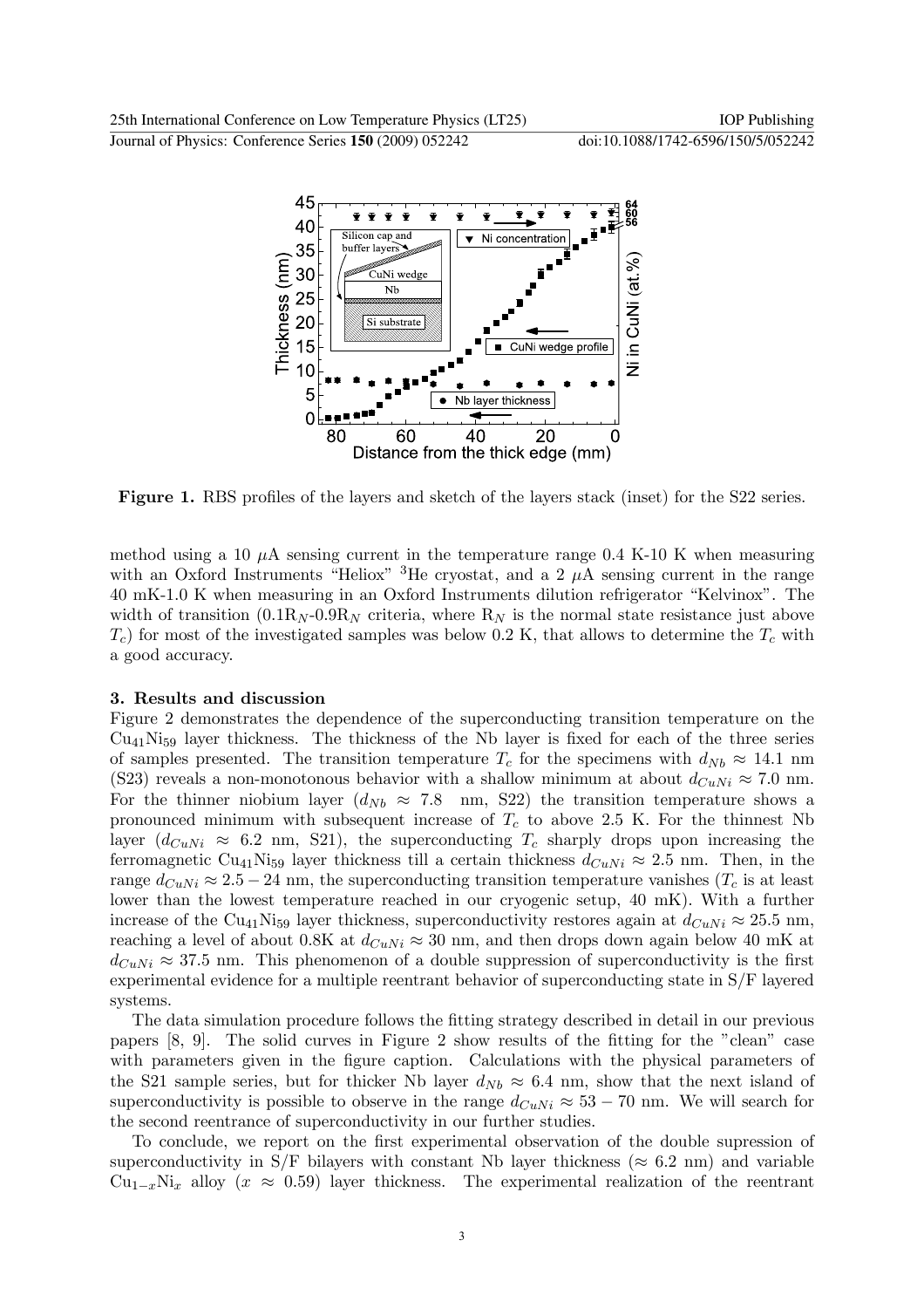

Figure 1. RBS profiles of the layers and sketch of the layers stack (inset) for the S22 series.

method using a 10  $\mu$ A sensing current in the temperature range 0.4 K-10 K when measuring with an Oxford Instruments "Heliox" <sup>3</sup>He cryostat, and a 2  $\mu$ A sensing current in the range 40 mK-1.0 K when measuring in an Oxford Instruments dilution refrigerator "Kelvinox". The width of transition  $(0.1R_N - 0.9R_N$  criteria, where  $R_N$  is the normal state resistance just above  $T_c$ ) for most of the investigated samples was below 0.2 K, that allows to determine the  $T_c$  with a good accuracy.

#### 3. Results and discussion

Figure 2 demonstrates the dependence of the superconducting transition temperature on the  $Cu_{41}Ni_{59}$  layer thickness. The thickness of the Nb layer is fixed for each of the three series of samples presented. The transition temperature  $T_c$  for the specimens with  $d_{Nb} \approx 14.1$  nm (S23) reveals a non-monotonous behavior with a shallow minimum at about  $d_{CuNi} \approx 7.0$  nm. For the thinner niobium layer  $(d_{Nb} \approx 7.8 \text{ nm}, S22)$  the transition temperature shows a pronounced minimum with subsequent increase of  $T_c$  to above 2.5 K. For the thinnest Nb layer  $(d_{CuNi} \approx 6.2$  nm, S21), the superconducting  $T_c$  sharply drops upon increasing the ferromagnetic Cu<sub>41</sub>Ni<sub>59</sub> layer thickness till a certain thickness  $d_{CuNi} \approx 2.5$  nm. Then, in the range  $d_{CuNi} \approx 2.5 - 24$  nm, the superconducting transition temperature vanishes  $(T_c$  is at least lower than the lowest temperature reached in our cryogenic setup, 40 mK). With a further increase of the Cu<sub>41</sub>N<sub>i59</sub> layer thickness, superconductivity restores again at  $d_{CuNi} \approx 25.5$  nm, reaching a level of about 0.8K at  $d_{CuNi} \approx 30$  nm, and then drops down again below 40 mK at  $d_{C_1N_i} \approx 37.5$  nm. This phenomenon of a double suppression of superconductivity is the first experimental evidence for a multiple reentrant behavior of superconducting state in S/F layered systems.

The data simulation procedure follows the fitting strategy described in detail in our previous papers [8, 9]. The solid curves in Figure 2 show results of the fitting for the "clean" case with parameters given in the figure caption. Calculations with the physical parameters of the S21 sample series, but for thicker Nb layer  $d_{Nb} \approx 6.4$  nm, show that the next island of superconductivity is possible to observe in the range  $d_{CuNi} \approx 53 - 70$  nm. We will search for the second reentrance of superconductivity in our further studies.

To conclude, we report on the first experimental observation of the double supression of superconductivity in S/F bilayers with constant Nb layer thickness ( $\approx 6.2$  nm) and variable  $Cu_{1-x}Ni_{x}$  alloy  $(x \approx 0.59)$  layer thickness. The experimental realization of the reentrant